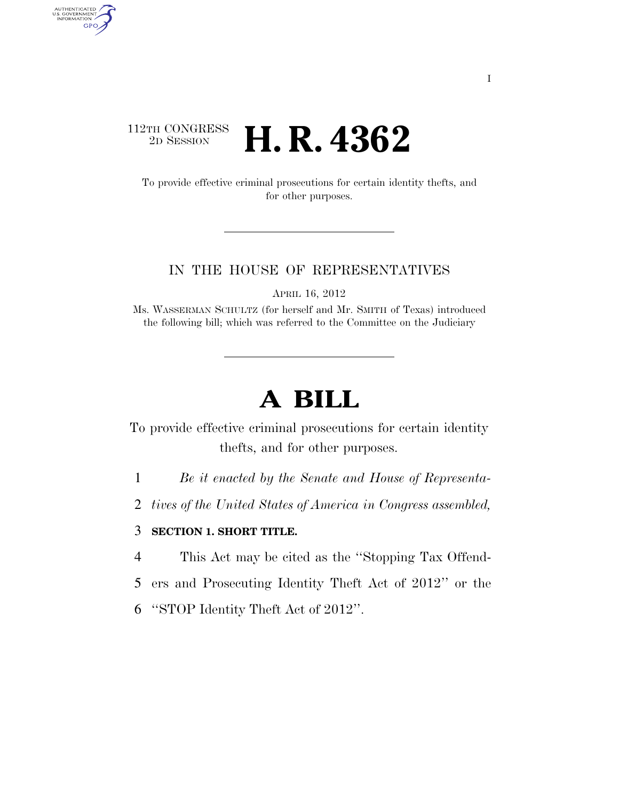### 112TH CONGRESS <sup>2D SESSION</sup> **H. R. 4362**

AUTHENTICATED<br>U.S. GOVERNMENT<br>INFORMATION GPO

> To provide effective criminal prosecutions for certain identity thefts, and for other purposes.

#### IN THE HOUSE OF REPRESENTATIVES

APRIL 16, 2012

Ms. WASSERMAN SCHULTZ (for herself and Mr. SMITH of Texas) introduced the following bill; which was referred to the Committee on the Judiciary

# **A BILL**

To provide effective criminal prosecutions for certain identity thefts, and for other purposes.

1 *Be it enacted by the Senate and House of Representa-*

2 *tives of the United States of America in Congress assembled,* 

#### 3 **SECTION 1. SHORT TITLE.**

4 This Act may be cited as the ''Stopping Tax Offend-

- 5 ers and Prosecuting Identity Theft Act of 2012'' or the
- 6 ''STOP Identity Theft Act of 2012''.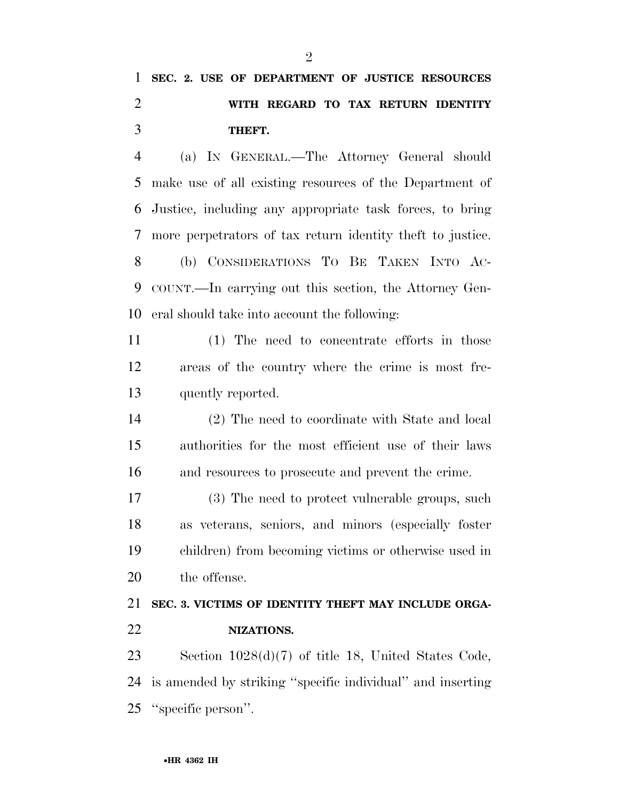## **SEC. 2. USE OF DEPARTMENT OF JUSTICE RESOURCES WITH REGARD TO TAX RETURN IDENTITY THEFT.**

 (a) IN GENERAL.—The Attorney General should make use of all existing resources of the Department of Justice, including any appropriate task forces, to bring more perpetrators of tax return identity theft to justice. (b) CONSIDERATIONS TO BE TAKEN INTO AC- COUNT.—In carrying out this section, the Attorney Gen-eral should take into account the following:

 (1) The need to concentrate efforts in those areas of the country where the crime is most fre-quently reported.

 (2) The need to coordinate with State and local authorities for the most efficient use of their laws and resources to prosecute and prevent the crime.

 (3) The need to protect vulnerable groups, such as veterans, seniors, and minors (especially foster children) from becoming victims or otherwise used in the offense.

### **SEC. 3. VICTIMS OF IDENTITY THEFT MAY INCLUDE ORGA-NIZATIONS.**

 Section 1028(d)(7) of title 18, United States Code, is amended by striking ''specific individual'' and inserting ''specific person''.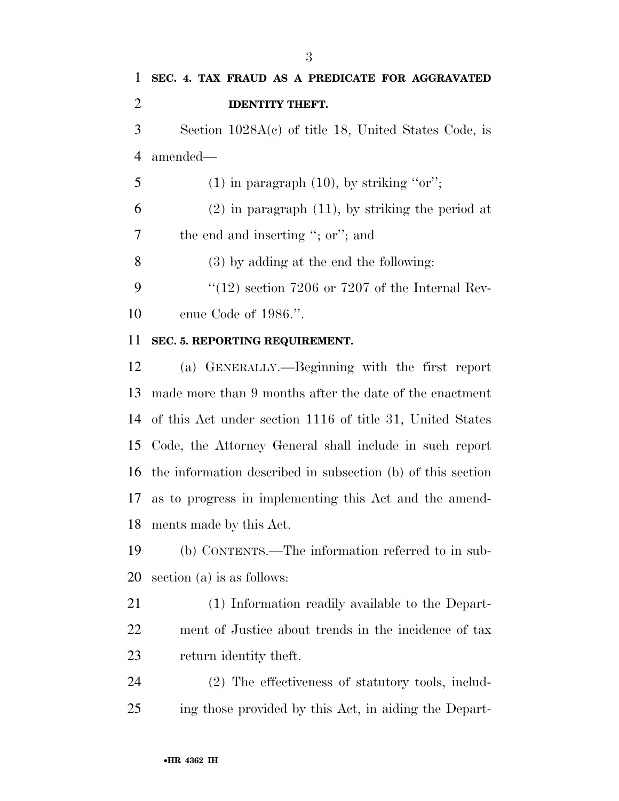| 1              | SEC. 4. TAX FRAUD AS A PREDICATE FOR AGGRAVATED          |
|----------------|----------------------------------------------------------|
| 2              | <b>IDENTITY THEFT.</b>                                   |
| 3              | Section $1028A(c)$ of title 18, United States Code, is   |
| $\overline{4}$ | amended—                                                 |
| 5              | $(1)$ in paragraph $(10)$ , by striking "or";            |
| 6              | $(2)$ in paragraph $(11)$ , by striking the period at    |
| 7              | the end and inserting "; or"; and                        |
| 8              | $(3)$ by adding at the end the following:                |
| 9              | $\degree$ (12) section 7206 or 7207 of the Internal Rev- |
| 10             | enue Code of $1986$ .".                                  |

#### **SEC. 5. REPORTING REQUIREMENT.**

 (a) GENERALLY.—Beginning with the first report made more than 9 months after the date of the enactment of this Act under section 1116 of title 31, United States Code, the Attorney General shall include in such report the information described in subsection (b) of this section as to progress in implementing this Act and the amend-ments made by this Act.

 (b) CONTENTS.—The information referred to in sub-section (a) is as follows:

 (1) Information readily available to the Depart- ment of Justice about trends in the incidence of tax return identity theft.

 (2) The effectiveness of statutory tools, includ-ing those provided by this Act, in aiding the Depart-